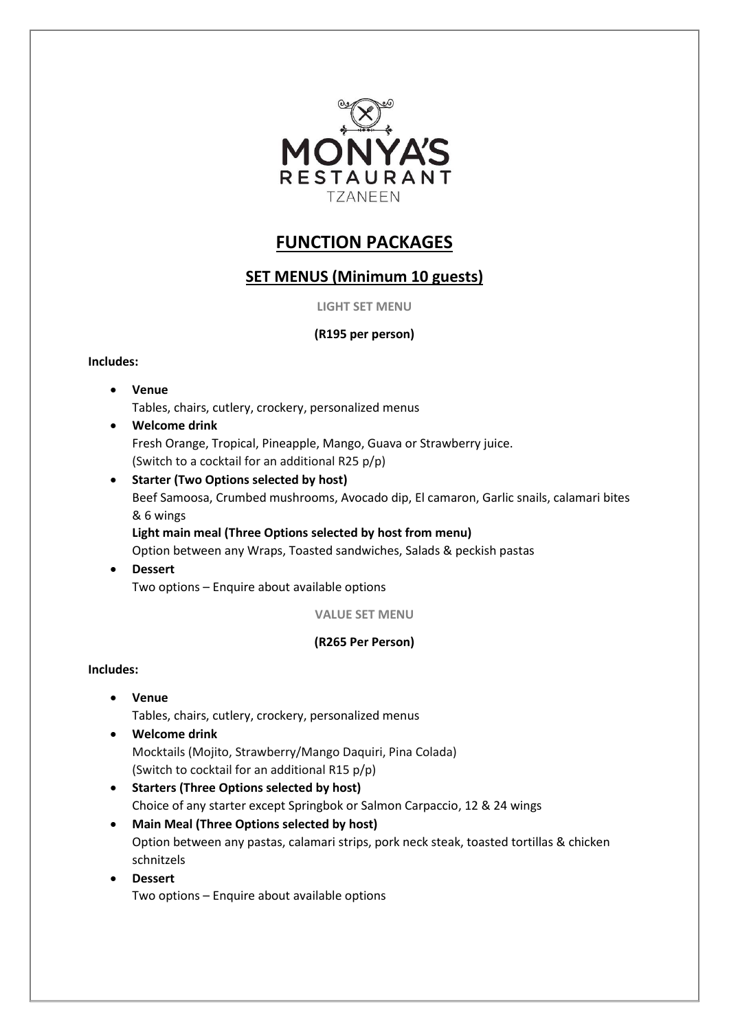

# **FUNCTION PACKAGES**

# **SET MENUS (Minimum 10 guests)**

**LIGHT SET MENU**

## **(R195 per person)**

### **Includes:**

- **Venue**  Tables, chairs, cutlery, crockery, personalized menus
- **Welcome drink** Fresh Orange, Tropical, Pineapple, Mango, Guava or Strawberry juice. (Switch to a cocktail for an additional R25 p/p)
- **Starter (Two Options selected by host)** Beef Samoosa, Crumbed mushrooms, Avocado dip, El camaron, Garlic snails, calamari bites & 6 wings **Light main meal (Three Options selected by host from menu)** Option between any Wraps, Toasted sandwiches, Salads & peckish pastas
- **Dessert** Two options – Enquire about available options

**VALUE SET MENU**

## **(R265 Per Person)**

### **Includes:**

- **Venue**  Tables, chairs, cutlery, crockery, personalized menus
- **Welcome drink** Mocktails (Mojito, Strawberry/Mango Daquiri, Pina Colada) (Switch to cocktail for an additional R15 p/p)
- **Starters (Three Options selected by host)** Choice of any starter except Springbok or Salmon Carpaccio, 12 & 24 wings
- **Main Meal (Three Options selected by host)** Option between any pastas, calamari strips, pork neck steak, toasted tortillas & chicken schnitzels
- **Dessert**  Two options – Enquire about available options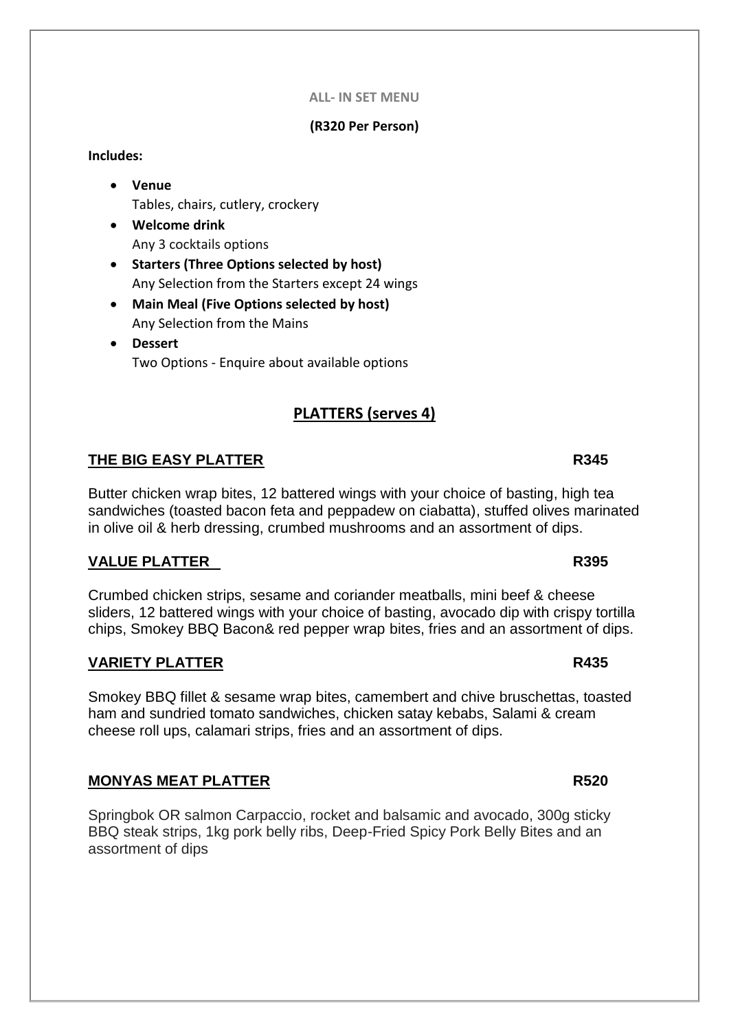### **ALL- IN SET MENU**

### **(R320 Per Person)**

### **Includes:**

- **Venue**  Tables, chairs, cutlery, crockery
- **Welcome drink** Any 3 cocktails options
- **Starters (Three Options selected by host)** Any Selection from the Starters except 24 wings
- **Main Meal (Five Options selected by host)** Any Selection from the Mains
- **Dessert**  Two Options - Enquire about available options

# **PLATTERS (serves 4)**

# **THE BIG EASY PLATTER R345**

Butter chicken wrap bites, 12 battered wings with your choice of basting, high tea sandwiches (toasted bacon feta and peppadew on ciabatta), stuffed olives marinated in olive oil & herb dressing, crumbed mushrooms and an assortment of dips.

## **VALUE PLATTER R395**

Crumbed chicken strips, sesame and coriander meatballs, mini beef & cheese sliders, 12 battered wings with your choice of basting, avocado dip with crispy tortilla chips, Smokey BBQ Bacon& red pepper wrap bites, fries and an assortment of dips.

## **VARIETY PLATTER R435**

Smokey BBQ fillet & sesame wrap bites, camembert and chive bruschettas, toasted ham and sundried tomato sandwiches, chicken satay kebabs, Salami & cream cheese roll ups, calamari strips, fries and an assortment of dips.

## **MONYAS MEAT PLATTER R520**

Springbok OR salmon Carpaccio, rocket and balsamic and avocado, 300g sticky BBQ steak strips, 1kg pork belly ribs, Deep-Fried Spicy Pork Belly Bites and an assortment of dips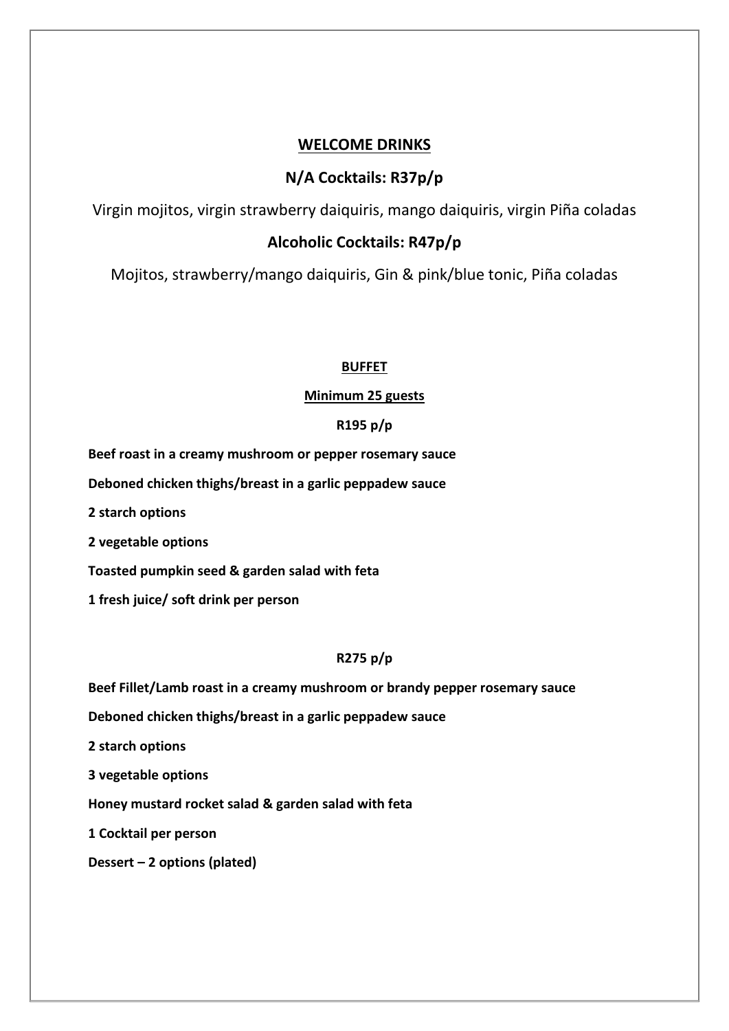# **WELCOME DRINKS**

# **N/A Cocktails: R37p/p**

Virgin mojitos, virgin strawberry daiquiris, mango daiquiris, virgin Piña coladas

# **Alcoholic Cocktails: R47p/p**

Mojitos, strawberry/mango daiquiris, Gin & pink/blue tonic, Piña coladas

### **BUFFET**

### **Minimum 25 guests**

### **R195 p/p**

**Beef roast in a creamy mushroom or pepper rosemary sauce**

**Deboned chicken thighs/breast in a garlic peppadew sauce**

**2 starch options**

**2 vegetable options**

**Toasted pumpkin seed & garden salad with feta**

**1 fresh juice/ soft drink per person**

## **R275 p/p**

**Beef Fillet/Lamb roast in a creamy mushroom or brandy pepper rosemary sauce**

**Deboned chicken thighs/breast in a garlic peppadew sauce**

**2 starch options**

**3 vegetable options**

**Honey mustard rocket salad & garden salad with feta**

**1 Cocktail per person**

**Dessert – 2 options (plated)**